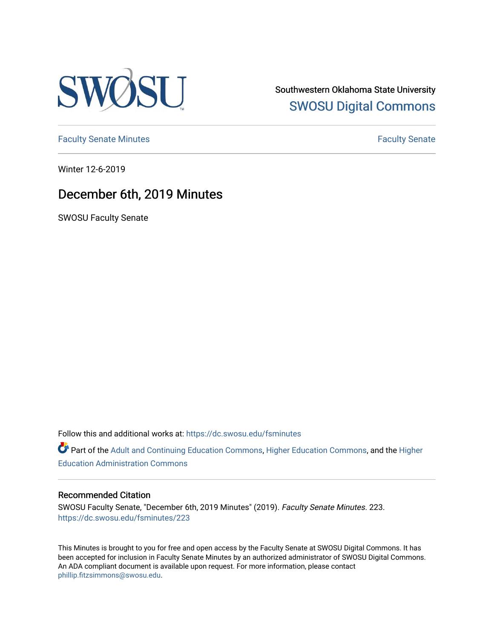

Southwestern Oklahoma State University [SWOSU Digital Commons](https://dc.swosu.edu/) 

[Faculty Senate Minutes](https://dc.swosu.edu/fsminutes) **Faculty** Senate Minutes

Winter 12-6-2019

## December 6th, 2019 Minutes

SWOSU Faculty Senate

Follow this and additional works at: [https://dc.swosu.edu/fsminutes](https://dc.swosu.edu/fsminutes?utm_source=dc.swosu.edu%2Ffsminutes%2F223&utm_medium=PDF&utm_campaign=PDFCoverPages) 

Part of the [Adult and Continuing Education Commons,](http://network.bepress.com/hgg/discipline/1375?utm_source=dc.swosu.edu%2Ffsminutes%2F223&utm_medium=PDF&utm_campaign=PDFCoverPages) [Higher Education Commons,](http://network.bepress.com/hgg/discipline/1245?utm_source=dc.swosu.edu%2Ffsminutes%2F223&utm_medium=PDF&utm_campaign=PDFCoverPages) and the [Higher](http://network.bepress.com/hgg/discipline/791?utm_source=dc.swosu.edu%2Ffsminutes%2F223&utm_medium=PDF&utm_campaign=PDFCoverPages) [Education Administration Commons](http://network.bepress.com/hgg/discipline/791?utm_source=dc.swosu.edu%2Ffsminutes%2F223&utm_medium=PDF&utm_campaign=PDFCoverPages) 

#### Recommended Citation

SWOSU Faculty Senate, "December 6th, 2019 Minutes" (2019). Faculty Senate Minutes. 223. [https://dc.swosu.edu/fsminutes/223](https://dc.swosu.edu/fsminutes/223?utm_source=dc.swosu.edu%2Ffsminutes%2F223&utm_medium=PDF&utm_campaign=PDFCoverPages) 

This Minutes is brought to you for free and open access by the Faculty Senate at SWOSU Digital Commons. It has been accepted for inclusion in Faculty Senate Minutes by an authorized administrator of SWOSU Digital Commons. An ADA compliant document is available upon request. For more information, please contact [phillip.fitzsimmons@swosu.edu](mailto:phillip.fitzsimmons@swosu.edu).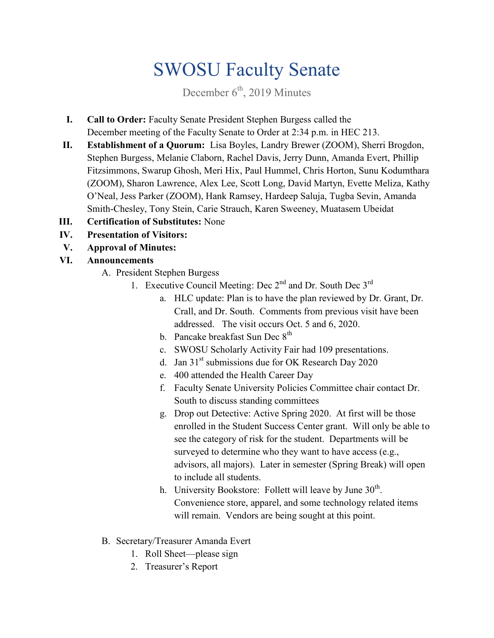# SWOSU Faculty Senate

December  $6<sup>th</sup>$ , 2019 Minutes

- **I. Call to Order:** Faculty Senate President Stephen Burgess called the December meeting of the Faculty Senate to Order at 2:34 p.m. in HEC 213.
- **II. Establishment of a Quorum:** Lisa Boyles, Landry Brewer (ZOOM), Sherri Brogdon, Stephen Burgess, Melanie Claborn, Rachel Davis, Jerry Dunn, Amanda Evert, Phillip Fitzsimmons, Swarup Ghosh, Meri Hix, Paul Hummel, Chris Horton, Sunu Kodumthara (ZOOM), Sharon Lawrence, Alex Lee, Scott Long, David Martyn, Evette Meliza, Kathy O'Neal, Jess Parker (ZOOM), Hank Ramsey, Hardeep Saluja, Tugba Sevin, Amanda Smith-Chesley, Tony Stein, Carie Strauch, Karen Sweeney, Muatasem Ubeidat
- **III. Certification of Substitutes:** None
- **IV. Presentation of Visitors:**
- **V. Approval of Minutes:**

### **VI. Announcements**

- A. President Stephen Burgess
	- 1. Executive Council Meeting: Dec  $2^{nd}$  and Dr. South Dec  $3^{rd}$ 
		- a. HLC update: Plan is to have the plan reviewed by Dr. Grant, Dr. Crall, and Dr. South. Comments from previous visit have been addressed. The visit occurs Oct. 5 and 6, 2020.
		- b. Pancake breakfast Sun Dec 8<sup>th</sup>
		- c. SWOSU Scholarly Activity Fair had 109 presentations.
		- d. Jan  $31<sup>st</sup>$  submissions due for OK Research Day 2020
		- e. 400 attended the Health Career Day
		- f. Faculty Senate University Policies Committee chair contact Dr. South to discuss standing committees
		- g. Drop out Detective: Active Spring 2020. At first will be those enrolled in the Student Success Center grant. Will only be able to see the category of risk for the student. Departments will be surveyed to determine who they want to have access (e.g., advisors, all majors). Later in semester (Spring Break) will open to include all students.
		- h. University Bookstore: Follett will leave by June 30<sup>th</sup>. Convenience store, apparel, and some technology related items will remain. Vendors are being sought at this point.
- B. Secretary/Treasurer Amanda Evert
	- 1. Roll Sheet—please sign
	- 2. Treasurer's Report